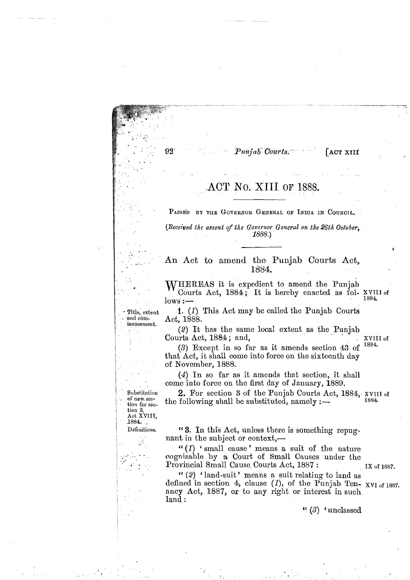**ACT XIII** 

## ACT No. XIII OF 1888.

. - ..

PASSED BY THE GOVERNOR GENERAL OF INDIA IN COUNCIL.

*(Received the assent of the Governor General on the 26th October, 1888.)* 

## **<sup>C</sup>**. . . . . - - - **An** Act to amend the Punjab Courts **Act,** 1884.

WHEREAS it is expedient to amend the Punjab Courts Act, 1884; It is hereby enacted as fol- **XVTII of**  Courts Act, 1884; It is nereby enacted as  $101 - \frac{2011}{1884}$ .

1. **(1)** This Act may be called the Punjab Courts Act, 1888.

(2) It has the same local extent as the Punjab **Courts Act, 1884**; and,  $\frac{XVIII}{4}$  of  $\frac{1884}{4}$ 

**13)** Except in so Ear as it amends section 43 of **1884.**  that' Act, it shall come into force on the sixteenth day of November, 1888.

(4) In so far as it amends that section, it shall come into force on the first day of January, 1889.

2. For section 3 of the Punjab Courts Act, 1884, *xvIII* of  $\frac{1884}{1884}$ the following shall be substituted, namely :—

'( 3. In this Act, unless there is something repugnant in the subject or context,—

" $(1)$  ' small cause' means a suit of the nature cognizs,ble by a Court of Small Causes under the Provincial Small Cause Courts Act, 1887 : **IX of 1887**.

 $(2)$  ' land-suit' means a suit relating to land as defined in section 4, clause (1), of the Punjab Ten- XVI of 1887. ancy Act, 1887, or to any right or interest in such land :

" *(3)* ' unclassed

<sup>i</sup>**Substitutinu** . **nf' new. sec- tion for sec** <sup>a</sup>**tion 3, Act XVIIT.**  Définitions.

Title, extent and commencement.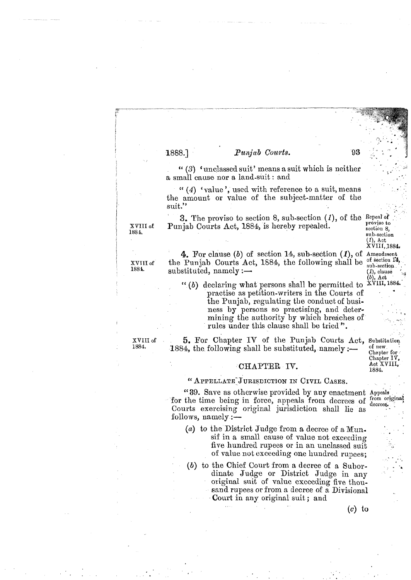"(3) 'unclassed suit' means a suit which is neither a small cause nor a land-suit : and

" (4) 'value', used with reference to a suit, means the amount or value of the subject-matter of the suit.''

**3,** The proviso to section 8, sub-section *(I),* of the Repeal **of**  xvIII of Punjab Courts Act, 1884, is hereby repealed. **Punjab Courts Act, 1884**, is hereby repealed.

 $\chi\rm \ddot{\rm v}$ III, 1884. 4. For clause (b) of section 14, sub-section *(I),* of Ameudment **XVIII of** the Punjab Courts Act, 1884, the following shall be  $\frac{\text{of section 14}}{\text{sub-section}}$ <br>1884. substituted, namely :-- (*I)*, clause (*I)*, clause (*I)*, clause  $\frac{(\text{I})}{\text{col}}$ 

" (b) declaring what persons shall be permitted to practise as petition-writers in the Courts of . the Punjab, regulating the conduct of business by persons so practising, and deter-<br>mining the authority by which breaches of rules under this clause shall be tried ".

xVIII of 5. For Chapter IV of the Punjab Courts Act, Substitution 1884.<br>1884. 1884 the following shall be substituted namely :- of new 1884, the following shall be substituted, namely  $\frac{1}{n}$  of  $\frac{new}{Chapter for}$ .

### ${}^{1}$ CHAPTER IV.  ${}^{A \text{ct A}}_{1884}$

" APPELLATE JURISDICTION IN CIVIL CASES.<br>"39. Save as otherwise provided by any enactment Appeals" for the time being in force, appeals from decrees of  $_{\text{decrees}}$ . Courts exercising original jurisdiction shall lie as follows, namely :-

- (a) to the District Judge from a decree of a  $Mun$ . sif in a small cause of value not exceeding five hundred rupees or in an unclassed suit of value not exceeding one hundred rupees;
- *(b)* to the Chief Court from a decree of a Subor- **<sup>a</sup>** dinate Judge or District Judge in any original suit of value exceeding five thousand rupees or from a decree of a Divisional Court in any original suit ; and

Chapter IV,<br>Act XVIII,

sub-section<br> $(1)$ , Act

93

1888.]

'. :

 $(c)$  to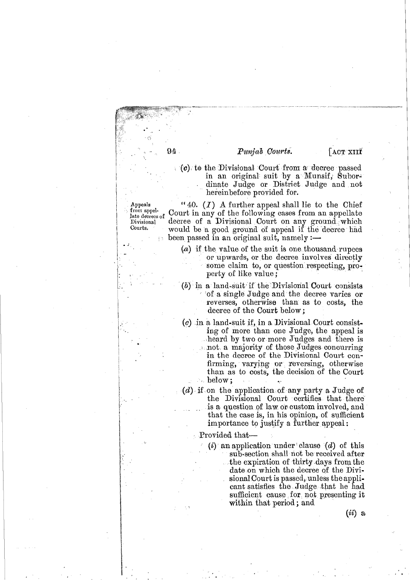ACT XIII

 $\mathcal{C}(\mathcal{C})$  to the Divisional Court from a decree passed in an original suit by a Munsif, Subordinate Judge or District Judge and not hereinbefore provided for.

Appeals from appellate decrees of Divisional Courts.

"40.  $(I)$  A further appeal shall lie to the Chief Court in any of the following cases from an appellate decree of a Divisional Court on any ground which would be a good ground of appeal if the decree had been passed in an original suit, namely :—

- (a) if the value of the suit is one thousand rupees or upwards, or the decree involves directly some claim to, or question respecting,  $pro$ perty of like value;
- $(b)$  in a land-suit if the Divisional Court consists of a single Judge and the decree varies or reverses, otherwise than as to costs, the decree of the Court below:
- $(c)$  in a land-suit if, in a Divisional Court consisting of more than one Judge, the appeal is heard by two or more Judges and there is not a majority of those Judges concurring in the decree of the Divisional Court confirming, varying or reversing, otherwise than as to costs, the decision of the Court below:  $\mathcal{N}_{\mathcal{A},\mathbf{r}}$
- $(d)$  if on the application of any party a Judge of the Divisional Court certifies that there is a question of law or custom involved, and that the case is, in his opinion, of sufficient importance to justify a further appeal:

Provided that-

(*i*) an application under clause (*d*) of this sub-section shall not be received after the expiration of thirty days from the date on which the decree of the Divisional Court is passed, unless the applicant satisfies the Judge that he had sufficient cause for not presenting it within that period; and

 $(ii)$  a

 $94.$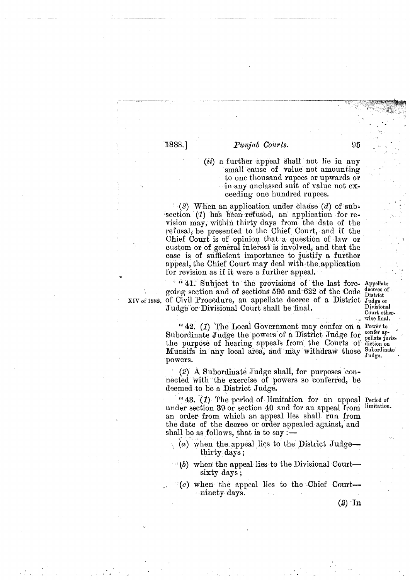1888.]

### Punjab Courts.

(*ii*) a further appeal shall not lie in any small cause of value not amounting to one thousand rupees or upwards or in any unclassed suit of value not  $ex$ ceeding one hundred rupees.

(2) When an application under clause  $(d)$  of subsection (1) has been refused, an application for revision may, within thirty days from the date of the refusal, be presented to the Chief Court, and if the Chief Court is of opinion that a question of law or custom or of general interest 'is involved, and that the case is of sufficient importance to justify a further appeal, the Chief Court may deal with the'application for revision as if it were a further appeal. **<sup>w</sup>**

<sup>6</sup> <sup>a</sup> 41. Subject to the provisions of the last fore-Appellate going section and of sections 595 and 622 of the Code decrees XIV of 1882. of Civil Procedure, an appellate decree of a District Judge or<br>Tudge or Divisional Court shall be final. Judge or Divisional Court shall be final.

> "42. (1) The Local Government may confer on a Power to Subordinate Judge the powers of a District Judge for  $_{\text{pellate}}^{\text{outer ap}}$ the purpose of hearing appeals from the Courts of diction on Munsifs in any local area, and may withdraw those  $_{\text{Judge}}^{\text{Subordinate}}$ powers.

(2) **A** Subordinate Judge shall, for purposes 'connected with the exercise of powers so conferred, be deemed to be a District Judge.

**"43.** (1) The period of limitation for an appeal Period of under section 39 or section 40 and for an appeal from an order from which an appeal lies shall run from the date of the decree or order appealed against,' and shall be as follows, that is to say  $:$   $-$ 

- (*a*) when the appeal lies to the District Judge-<br>thirty days;
- $\bullet$  **(b)** when the appeal lies to the Divisional Courtsixty days ;
- $(c)$  when the appeal lies to the Chief Court--ninety days.

Court other-<br>wise final.<br>Power to

**(2)** 'In

95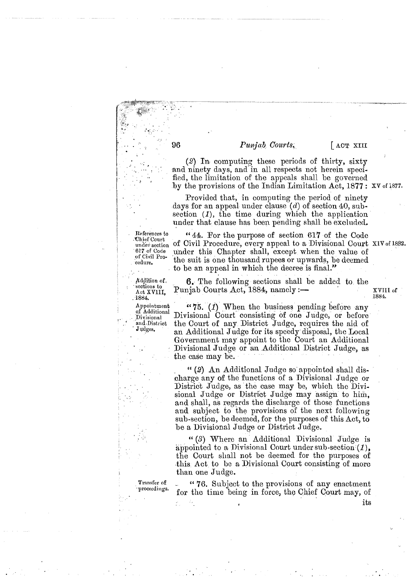ACT XIII

XVIII of

1884.

 $(2)$  In computing these periods of thirty, sixty and ninety days, and in all respects not herein specified, the limitation of the appeals shall be governed by the provisions of the Indian Limitation Act,  $1877:$  XV of 1877.

Provided that, in computing the period of ninety days for an appeal under clause  $(d)$  of section 40, subsection  $(1)$ , the time during which the application under that clause has been pending shall be excluded.

 $44.$  For the purpose of section 617 of the Code of Civil Procedure, every appeal to a Divisional Court XIV of 1882. under this Chapter shall, except when the value of the suit is one thousand rupees or upwards, be deemed to be an appeal in which the decree is final."

**6.** The following sections shall be added to the Punjab Courts Act, 1884, namely :-

"75.  $(1)$  When the business pending before any Divisional Court consisting of one Judge, or before the Court of any District Judge, requires the aid of an Additional Judge for its speedy disposal, the Local Government may appoint to the Court an Additional Divisional Judge or an Additional District Judge, as the case may be.

"(2) An Additional Judge so appointed shall discharge any of the functions of a Divisional Judge or District Judge, as the case may be, which the Divisional Judge or District Judge may assign to him, and shall, as regards the discharge of those functions and subject to the provisions of the next following sub-section, be deemed, for the purposes of this Act, to be a Divisional Judge or District Judge.

" $(3)$  Where an Additional Divisional Judge is appointed to a Divisional Court under sub-section  $(1)$ , the Court shall not be deemed for the purposes of this Act to be a Divisional Court consisting of more than one Judge.

"76. Subject to the provisions of any enactment for the time being in force, the Chief Court may, of its

Transfer of proceedings.

References to Chief Court under section 617 of Code of Civil Procedure.

Addition of. sections to Act XV1II. 1884.

Appointment of Additional Divisional and District Judges.

96